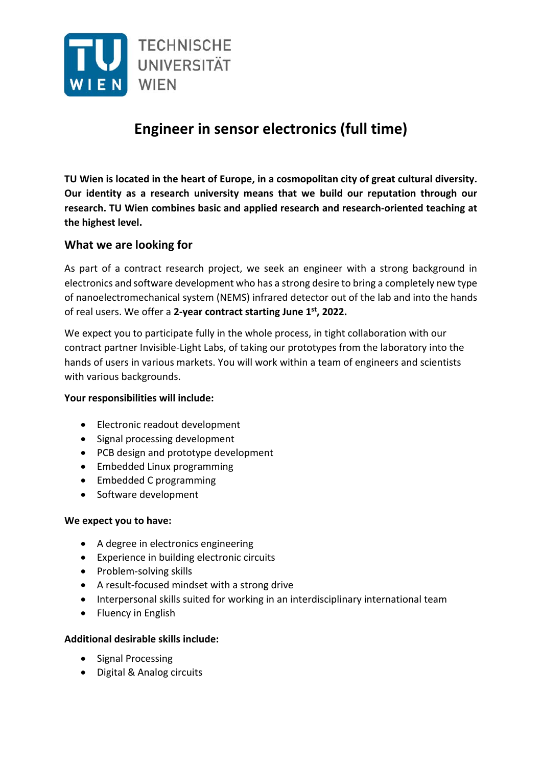

# **Engineer in sensor electronics (full time)**

**TU Wien is located in the heart of Europe, in a cosmopolitan city of great cultural diversity. Our identity as a research university means that we build our reputation through our research. TU Wien combines basic and applied research and research‐oriented teaching at the highest level.**

## **What we are looking for**

As part of a contract research project, we seek an engineer with a strong background in electronics and software development who has a strong desire to bring a completely new type of nanoelectromechanical system (NEMS) infrared detector out of the lab and into the hands of real users. We offer a **2‐year contract starting June 1st, 2022.**

We expect you to participate fully in the whole process, in tight collaboration with our contract partner Invisible‐Light Labs, of taking our prototypes from the laboratory into the hands of users in various markets. You will work within a team of engineers and scientists with various backgrounds.

#### **Your responsibilities will include:**

- Electronic readout development
- Signal processing development
- PCB design and prototype development
- Embedded Linux programming
- Embedded C programming
- Software development

#### **We expect you to have:**

- A degree in electronics engineering
- Experience in building electronic circuits
- Problem-solving skills
- A result-focused mindset with a strong drive
- Interpersonal skills suited for working in an interdisciplinary international team
- Fluency in English

#### **Additional desirable skills include:**

- Signal Processing
- Digital & Analog circuits